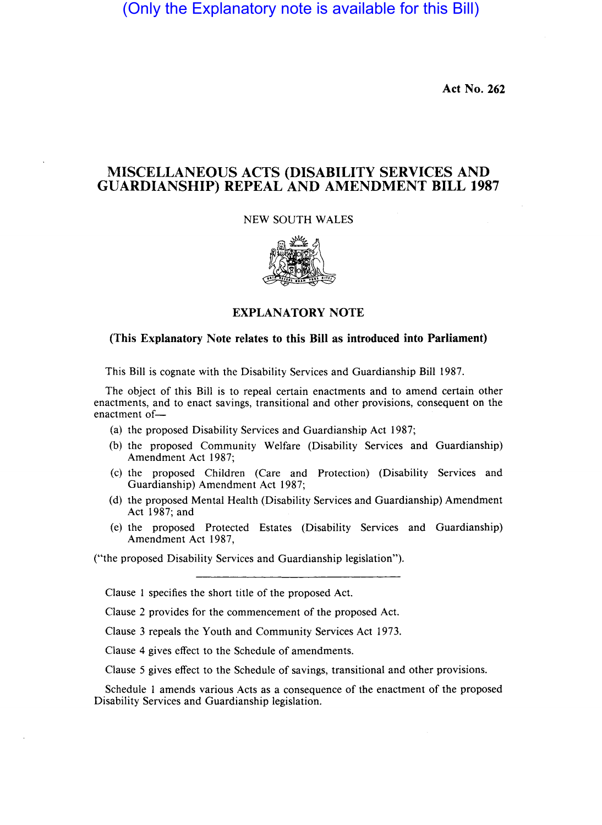(Only the Explanatory note is available for this Bill)

**Act No. 262** 

## **MISCELLANEOUS ACTS (DISABILITY SERVICES AND GUARDIANSHIP) REPEAL AND AMENDMENT BILL 1987**

NEW SOUTH WALES



## **EXPLANATORY NOTE**

## **(This Explanatory Note relates to this Bill as introduced into Parliament)**

This Bill is cognate with the Disability Services and Guardianship Bill 1987.

The object of this Bill is to repeal certain enactments and to amend certain other enactments, and to enact savings, transitional and other provisions, consequent on the enactment of-

- (a) the proposed Disability Services and Guardianship Act 1987;
- (b) the proposed Community Welfare (Disability Services and Guardianship) Amendment Act 1987;
- (c) the proposed Children (Care and Protection) (Disability Services and Guardianship) Amendment Act 1987;
- (d) the proposed Mental Health (Disability Services and Guardianship) Amendment Act 1987; and
- (e) the proposed Protected Estates (Disability Services and Guardianship) Amendment Act 1987,

("the proposed Disability Services and Guardianship legislation").

Clause 1 specifies the short title of the proposed Act.

Clause 2 provides for the commencement of the proposed Act.

Clause 3 repeals the Youth and Community Services Act 1973.

Clause 4 gives effect to the Schedule of amendments.

Clause 5 gives effect to the Schedule of savings, transitional and other provisions.

Schedule 1 amends various Acts as a consequence of the enactment of the proposed Disability Services and Guardianship legislation.